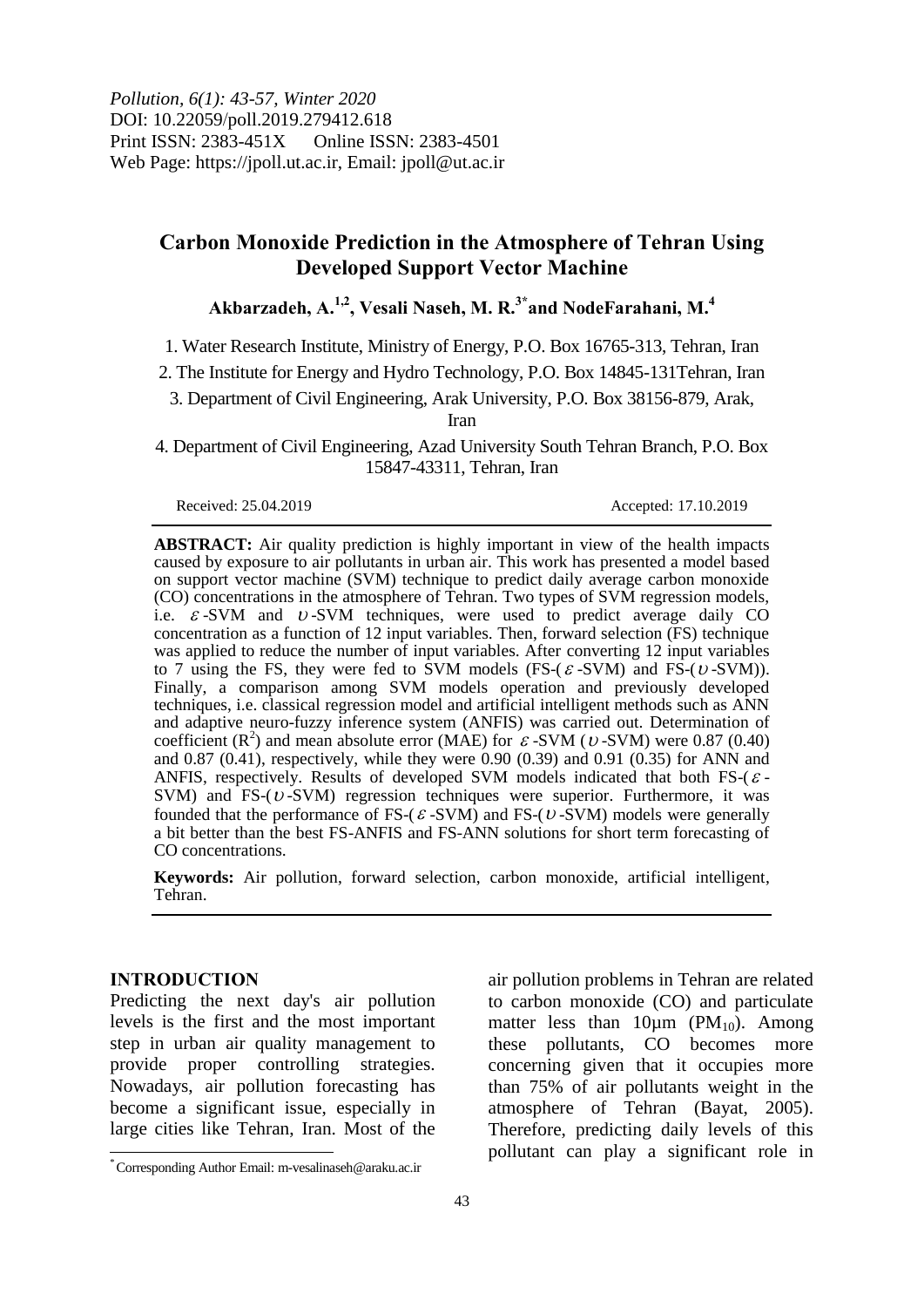# **Carbon Monoxide Prediction in the Atmosphere of Tehran Using Developed Support Vector Machine**

**Akbarzadeh, A.1,2 , Vesali Naseh, M. R.3\* and NodeFarahani, M.<sup>4</sup>**

1. Water Research Institute, Ministry of Energy, P.O. Box 16765-313, Tehran, Iran

2. The Institute for Energy and Hydro Technology, P.O. Box 14845-131Tehran, Iran

3. Department of Civil Engineering, Arak University, P.O. Box 38156-879, Arak,

Iran

4. Department of Civil Engineering, Azad University South Tehran Branch, P.O. Box 15847-43311, Tehran, Iran

Received: 25.04.2019 Accepted: 17.10.2019

**ABSTRACT:** Air quality prediction is highly important in view of the health impacts caused by exposure to air pollutants in urban air. This work has presented a model based on support vector machine (SVM) technique to predict daily average carbon monoxide (CO) concentrations in the atmosphere of Tehran. Two types of SVM regression models, i.e.  $\varepsilon$ -SVM and  $v$ -SVM techniques, were used to predict average daily CO concentration as a function of 12 input variables. Then, forward selection (FS) technique was applied to reduce the number of input variables. After converting 12 input variables to 7 using the FS, they were fed to SVM models  $(FS-(\varepsilon\text{-SVM})$  and  $FS-(U-SVM)$ . Finally, a comparison among SVM models operation and previously developed techniques, i.e. classical regression model and artificial intelligent methods such as ANN and adaptive neuro-fuzzy inference system (ANFIS) was carried out. Determination of coefficient ( $\mathbb{R}^2$ ) and mean absolute error (MAE) for  $\mathcal{E}$ -SVM ( $\mathcal{U}$ -SVM) were 0.87 (0.40) and 0.87 (0.41), respectively, while they were 0.90 (0.39) and 0.91 (0.35) for ANN and ANFIS, respectively. Results of developed SVM models indicated that both FS- $(\varepsilon$ -SVM) and FS- $(U-SVM)$  regression techniques were superior. Furthermore, it was founded that the performance of  $FS$ - $(\varepsilon$ -SVM) and  $FS$ - $(\nu$ -SVM) models were generally a bit better than the best FS-ANFIS and FS-ANN solutions for short term forecasting of CO concentrations.

**Keywords:** Air pollution, forward selection, carbon monoxide, artificial intelligent, Tehran.

### **INTRODUCTION**

 $\overline{a}$ 

Predicting the next day's air pollution levels is the first and the most important step in urban air quality management to provide proper controlling strategies. Nowadays, air pollution forecasting has become a significant issue, especially in large cities like Tehran, Iran. Most of the

air pollution problems in Tehran are related to carbon monoxide (CO) and particulate matter less than  $10\mu m$  (PM<sub>10</sub>). Among these pollutants, CO becomes more concerning given that it occupies more than 75% of air pollutants weight in the atmosphere of Tehran (Bayat, 2005). Therefore, predicting daily levels of this pollutant can play a significant role in

<sup>\*</sup> Corresponding Author Email: m-vesalinaseh@araku.ac.ir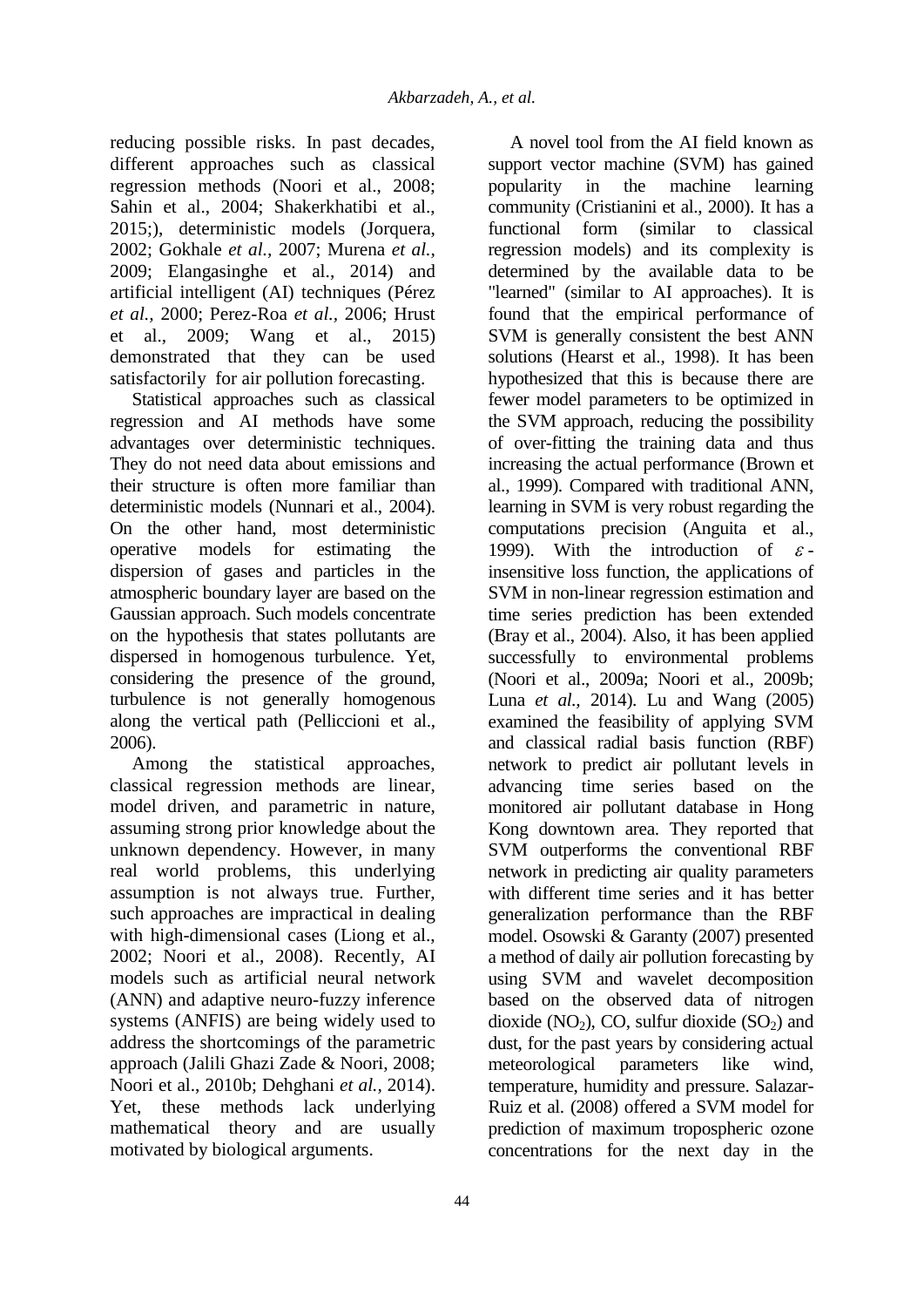reducing possible risks. In past decades, different approaches such as classical regression methods (Noori et al., 2008; Sahin et al., 2004; Shakerkhatibi et al., 2015;), deterministic models (Jorquera, 2002; Gokhale *et al.,* 2007; Murena *et al.,* 2009; Elangasinghe et al., 2014) and artificial intelligent (AI) techniques (Pérez *et al.,* 2000; Perez-Roa *et al.,* 2006; Hrust et al., 2009; Wang et al., 2015) demonstrated that they can be used satisfactorily for air pollution forecasting.

Statistical approaches such as classical regression and AI methods have some advantages over deterministic techniques. They do not need data about emissions and their structure is often more familiar than deterministic models (Nunnari et al., 2004). On the other hand, most deterministic operative models for estimating the dispersion of gases and particles in the atmospheric boundary layer are based on the Gaussian approach. Such models concentrate on the hypothesis that states pollutants are dispersed in homogenous turbulence. Yet, considering the presence of the ground, turbulence is not generally homogenous along the vertical path (Pelliccioni et al., 2006).

Among the statistical approaches, classical regression methods are linear, model driven, and parametric in nature, assuming strong prior knowledge about the unknown dependency. However, in many real world problems, this underlying assumption is not always true. Further, such approaches are impractical in dealing with high-dimensional cases (Liong et al., 2002; Noori et al., 2008). Recently, AI models such as artificial neural network (ANN) and adaptive neuro-fuzzy inference systems (ANFIS) are being widely used to address the shortcomings of the parametric approach (Jalili Ghazi Zade & Noori, 2008; Noori et al., 2010b; Dehghani *et al.,* 2014). Yet, these methods lack underlying mathematical theory and are usually motivated by biological arguments.

A novel tool from the AI field known as support vector machine (SVM) has gained popularity in the machine learning community (Cristianini et al., 2000). It has a functional form (similar to classical regression models) and its complexity is determined by the available data to be "learned" (similar to AI approaches). It is found that the empirical performance of SVM is generally consistent the best ANN solutions (Hearst et al., 1998). It has been hypothesized that this is because there are fewer model parameters to be optimized in the SVM approach, reducing the possibility of over-fitting the training data and thus increasing the actual performance (Brown et al., 1999). Compared with traditional ANN, learning in SVM is very robust regarding the computations precision (Anguita et al., 1999). With the introduction of  $\varepsilon$  insensitive loss function, the applications of SVM in non-linear regression estimation and time series prediction has been extended (Bray et al., 2004). Also, it has been applied successfully to environmental problems (Noori et al., 2009a; Noori et al., 2009b; Luna *et al.,* 2014). Lu and Wang (2005) examined the feasibility of applying SVM and classical radial basis function (RBF) network to predict air pollutant levels in advancing time series based on the monitored air pollutant database in Hong Kong downtown area. They reported that SVM outperforms the conventional RBF network in predicting air quality parameters with different time series and it has better generalization performance than the RBF model. Osowski & Garanty (2007) presented a method of daily air pollution forecasting by using SVM and wavelet decomposition based on the observed data of nitrogen dioxide  $(NO<sub>2</sub>)$ , CO, sulfur dioxide  $(SO<sub>2</sub>)$  and dust, for the past years by considering actual meteorological parameters like wind, temperature, humidity and pressure. Salazar-Ruiz et al. (2008) offered a SVM model for prediction of maximum tropospheric ozone concentrations for the next day in the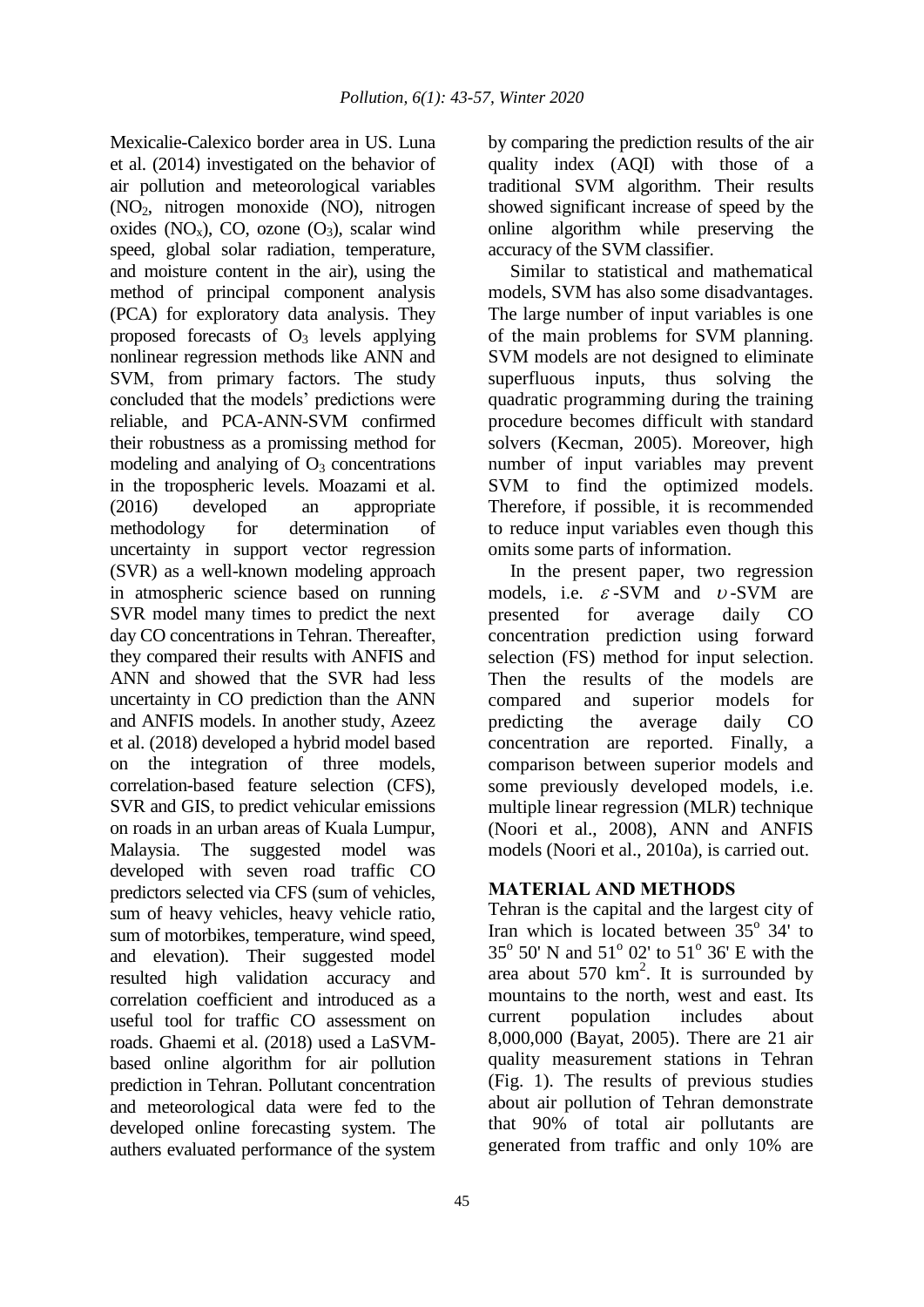Mexicalie-Calexico border area in US. Luna et al. (2014) investigated on the behavior of air pollution and meteorological variables (NO2, nitrogen monoxide (NO), nitrogen oxides  $(NO_x)$ , CO, ozone  $(O_3)$ , scalar wind speed, global solar radiation, temperature, and moisture content in the air), using the method of principal component analysis (PCA) for exploratory data analysis. They proposed forecasts of  $O_3$  levels applying nonlinear regression methods like ANN and SVM, from primary factors. The study concluded that the models' predictions were reliable, and PCA-ANN-SVM confirmed their robustness as a promissing method for modeling and analying of  $O_3$  concentrations in the tropospheric levels. Moazami et al. (2016) developed an appropriate methodology for determination of uncertainty in support vector regression (SVR) as a well-known modeling approach in atmospheric science based on running SVR model many times to predict the next day CO concentrations in Tehran. Thereafter, they compared their results with ANFIS and ANN and showed that the SVR had less uncertainty in CO prediction than the ANN and ANFIS models. In another study, Azeez et al. (2018) developed a hybrid model based on the integration of three models, correlation-based feature selection (CFS), SVR and GIS, to predict vehicular emissions on roads in an urban areas of Kuala Lumpur, Malaysia. The suggested model was developed with seven road traffic CO predictors selected via CFS (sum of vehicles, sum of heavy vehicles, heavy vehicle ratio, sum of motorbikes, temperature, wind speed, and elevation). Their suggested model resulted high validation accuracy and correlation coefficient and introduced as a useful tool for traffic CO assessment on roads. Ghaemi et al. (2018) used a LaSVMbased online algorithm for air pollution prediction in Tehran. Pollutant concentration and meteorological data were fed to the developed online forecasting system. The authers evaluated performance of the system

45

by comparing the prediction results of the air quality index (AQI) with those of a traditional SVM algorithm. Their results showed significant increase of speed by the online algorithm while preserving the accuracy of the SVM classifier.

Similar to statistical and mathematical models, SVM has also some disadvantages. The large number of input variables is one of the main problems for SVM planning. SVM models are not designed to eliminate superfluous inputs, thus solving the quadratic programming during the training procedure becomes difficult with standard solvers (Kecman, 2005). Moreover, high number of input variables may prevent SVM to find the optimized models. Therefore, if possible, it is recommended to reduce input variables even though this omits some parts of information.

In the present paper, two regression models, i.e.  $\varepsilon$ -SVM and  $v$ -SVM are presented for average daily CO concentration prediction using forward selection (FS) method for input selection. Then the results of the models are compared and superior models for predicting the average daily CO concentration are reported. Finally, a comparison between superior models and some previously developed models, i.e. multiple linear regression (MLR) technique (Noori et al., 2008), ANN and ANFIS models (Noori et al., 2010a), is carried out.

## **MATERIAL AND METHODS**

Tehran is the capital and the largest city of Iran which is located between 35° 34' to 35 $^{\circ}$  50' N and 51 $^{\circ}$  02' to 51 $^{\circ}$  36' E with the area about 570  $km^2$ . It is surrounded by mountains to the north, west and east. Its current population includes about 8,000,000 (Bayat, 2005). There are 21 air quality measurement stations in Tehran (Fig. 1). The results of previous studies about air pollution of Tehran demonstrate that 90% of total air pollutants are generated from traffic and only 10% are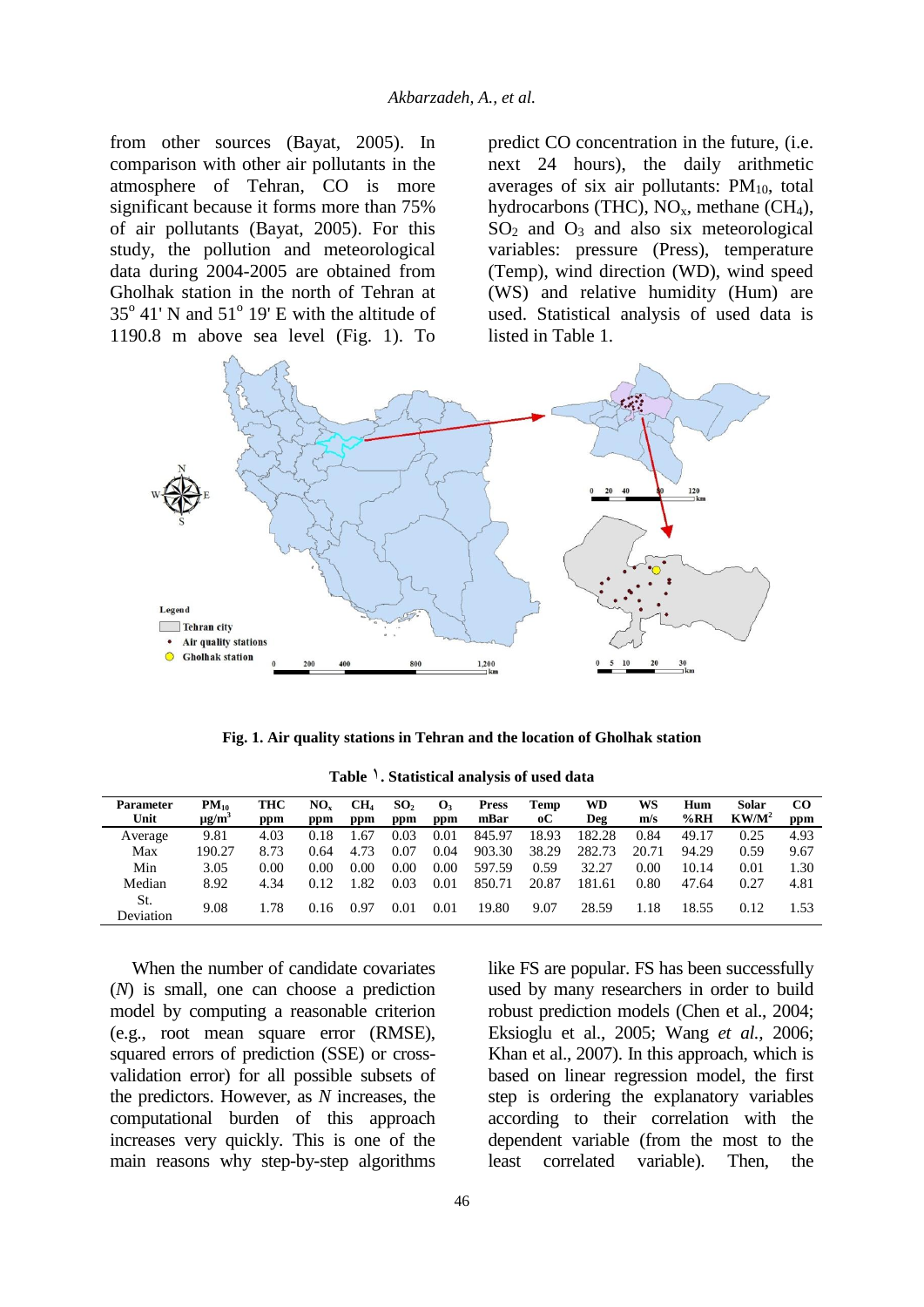from other sources (Bayat, 2005). In comparison with other air pollutants in the atmosphere of Tehran, CO is more significant because it forms more than 75% of air pollutants (Bayat, 2005). For this study, the pollution and meteorological data during 2004-2005 are obtained from Gholhak station in the north of Tehran at  $35^{\circ}$  41' N and  $51^{\circ}$  19' E with the altitude of 1190.8 m above sea level (Fig. 1). To

predict CO concentration in the future, (i.e. next 24 hours), the daily arithmetic averages of six air pollutants:  $PM_{10}$ , total hydrocarbons (THC),  $NO<sub>x</sub>$ , methane (CH<sub>4</sub>),  $SO<sub>2</sub>$  and  $O<sub>3</sub>$  and also six meteorological variables: pressure (Press), temperature (Temp), wind direction (WD), wind speed (WS) and relative humidity (Hum) are used. Statistical analysis of used data is listed in Table 1.



**Fig. 1. Air quality stations in Tehran and the location of Gholhak station**

| <b>Parameter</b><br>Unit | $PM_{10}$<br>$\mu$ g/m | THC<br>ppm | NO <sub>r</sub><br>ppm | CH <sub>4</sub><br>ppm | SO <sub>2</sub><br>ppm | $\mathbf{O}_3$<br>ppm | <b>Press</b><br>mBar | Temp<br>oС | WD<br>Deg | WS<br>m/s | Hum<br>%RH | Solar<br>$KW/M^2$ | <b>CO</b><br>ppm |
|--------------------------|------------------------|------------|------------------------|------------------------|------------------------|-----------------------|----------------------|------------|-----------|-----------|------------|-------------------|------------------|
| Average                  | 9.81                   | 4.03       | 0.18                   | .67                    | 0.03                   | 0.01                  | 845.97               | 18.93      | 182.28    | 0.84      | 49.17      | 0.25              | 4.93             |
| Max                      | 190.27                 | 8.73       | 0.64                   | 4.73                   | 0.07                   | 0.04                  | 903.30               | 38.29      | 282.73    | 20.71     | 94.29      | 0.59              | 9.67             |
| Min                      | 3.05                   | 0.00       | 0.00                   | 0.00                   | 0.00                   | 0.00                  | 597.59               | 0.59       | 32.27     | 0.00      | 10.14      | 0.01              | 1.30             |
| Median                   | 8.92                   | 4.34       | 0.12                   | 1.82                   | 0.03                   | 0.01                  | 850.71               | 20.87      | 181.61    | 0.80      | 47.64      | 0.27              | 4.81             |
| St.<br>Deviation         | 9.08                   | l.78       | 0.16                   | 0.97                   | 0.01                   | 0.01                  | 19.80                | 9.07       | 28.59     | 1.18      | 18.55      | 0.12              | 1.53             |

**Table** 1**. Statistical analysis of used data**

When the number of candidate covariates (*N*) is small, one can choose a prediction model by computing a reasonable criterion (e.g., root mean square error (RMSE), squared errors of prediction (SSE) or crossvalidation error) for all possible subsets of the predictors. However, as *N* increases, the computational burden of this approach increases very quickly. This is one of the main reasons why step-by-step algorithms

like FS are popular. FS has been successfully used by many researchers in order to build robust prediction models (Chen et al., 2004; Eksioglu et al., 2005; Wang *et al.,* 2006; Khan et al., 2007). In this approach, which is based on linear regression model, the first step is ordering the explanatory variables according to their correlation with the dependent variable (from the most to the least correlated variable). Then, the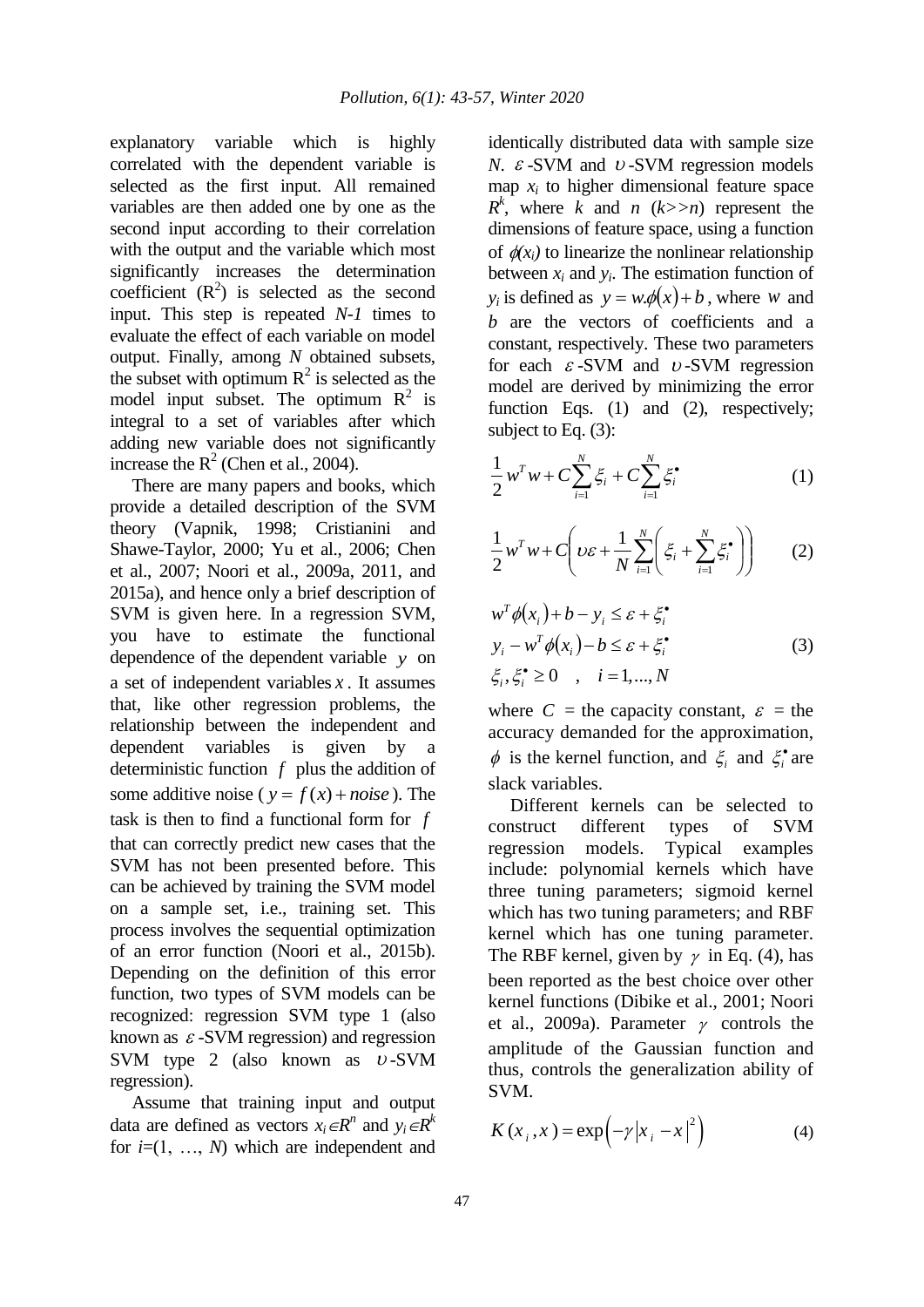explanatory variable which is highly correlated with the dependent variable is selected as the first input. All remained variables are then added one by one as the second input according to their correlation with the output and the variable which most significantly increases the determination coefficient  $(R^2)$  is selected as the second input. This step is repeated *N-1* times to evaluate the effect of each variable on model output. Finally, among *N* obtained subsets, the subset with optimum  $R^2$  is selected as the model input subset. The optimum  $R^2$  is integral to a set of variables after which adding new variable does not significantly increase the  $R^2$  (Chen et al., 2004).

There are many papers and books, which provide a detailed description of the SVM theory (Vapnik, 1998; Cristianini and Shawe-Taylor, 2000; Yu et al., 2006; Chen et al., 2007; Noori et al., 2009a, 2011, and 2015a), and hence only a brief description of SVM is given here. In a regression SVM, you have to estimate the functional dependence of the dependent variable *y* on a set of independent variables *x* . It assumes that, like other regression problems, the relationship between the independent and dependent variables is given by a deterministic function  $f$  plus the addition of some additive noise ( $y = f(x) + noise$ ). The task is then to find a functional form for *f* that can correctly predict new cases that the SVM has not been presented before. This can be achieved by training the SVM model on a sample set, i.e., training set. This process involves the sequential optimization of an error function (Noori et al., 2015b). Depending on the definition of this error function, two types of SVM models can be recognized: regression SVM type 1 (also known as  $\varepsilon$ -SVM regression) and regression SVM type 2 (also known as  $v$ -SVM regression).

Assume that training input and output data are defined as vectors  $x_i \in \mathbb{R}^n$  and  $y_i \in \mathbb{R}^k$ for *i*=(1, …, *N*) which are independent and identically distributed data with sample size *N.*  $\varepsilon$  -SVM and  $v$ -SVM regression models map  $x_i$  to higher dimensional feature space  $R^k$ , where *k* and *n* (*k*>>*n*) represent the dimensions of feature space, using a function of  $\phi(x_i)$  to linearize the nonlinear relationship between  $x_i$  and  $y_i$ . The estimation function of *y*<sub>*i*</sub> is defined as  $y = w \cdot \phi(x) + b$ , where *w* and *b* are the vectors of coefficients and a constant, respectively. These two parameters for each  $\varepsilon$ -SVM and  $v$ -SVM regression model are derived by minimizing the error function Eqs. (1) and (2), respectively; subject to Eq. (3):

$$
\frac{1}{2}w^T w + C \sum_{i=1}^N \xi_i + C \sum_{i=1}^N \xi_i^{\bullet} \tag{1}
$$

$$
\frac{1}{2}w^T w + C \left( \nu \varepsilon + \frac{1}{N} \sum_{i=1}^N \left( \xi_i + \sum_{i=1}^N \xi_i^* \right) \right) \tag{2}
$$

$$
w^T \phi(x_i) + b - y_i \leq \varepsilon + \xi_i^*
$$
  
\n
$$
y_i - w^T \phi(x_i) - b \leq \varepsilon + \xi_i^*
$$
  
\n
$$
\xi_i, \xi_i^* \geq 0 \quad , \quad i = 1, ..., N
$$
\n(3)

where  $C =$  the capacity constant,  $\varepsilon =$  the accuracy demanded for the approximation,  $\phi$  is the kernel function, and  $\xi_i$  and  $\xi_i^*$  are slack variables.

Different kernels can be selected to construct different types of SVM regression models. Typical examples include: polynomial kernels which have three tuning parameters; sigmoid kernel which has two tuning parameters; and RBF kernel which has one tuning parameter. The RBF kernel, given by  $\gamma$  in Eq. (4), has been reported as the best choice over other kernel functions (Dibike et al., 2001; Noori et al., 2009a). Parameter  $\gamma$  controls the amplitude of the Gaussian function and thus, controls the generalization ability of SVM.

$$
K(x_i, x) = \exp(-\gamma |x_i - x|^2)
$$
 (4)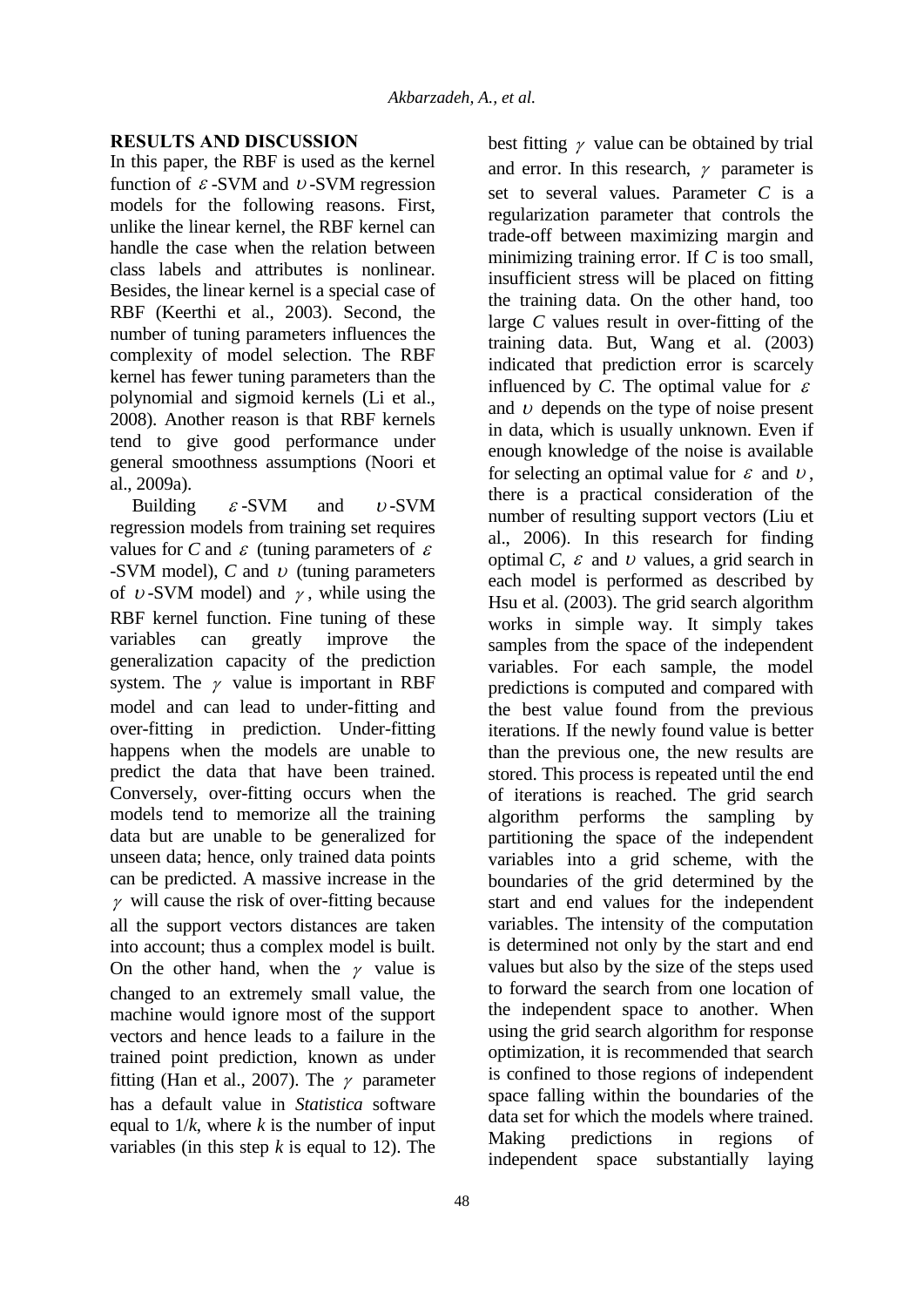### **RESULTS AND DISCUSSION**

In this paper, the RBF is used as the kernel function of  $\varepsilon$ -SVM and  $v$ -SVM regression models for the following reasons. First, unlike the linear kernel, the RBF kernel can handle the case when the relation between class labels and attributes is nonlinear. Besides, the linear kernel is a special case of RBF (Keerthi et al., 2003). Second, the number of tuning parameters influences the complexity of model selection. The RBF kernel has fewer tuning parameters than the polynomial and sigmoid kernels (Li et al., 2008). Another reason is that RBF kernels tend to give good performance under general smoothness assumptions (Noori et al., 2009a).

Building  $\mathcal{E}$ -SVM and  $v$ -SVM regression models from training set requires values for C and  $\varepsilon$  (tuning parameters of  $\varepsilon$ -SVM model),  $C$  and  $U$  (tuning parameters of  $\nu$ -SVM model) and  $\gamma$ , while using the RBF kernel function. Fine tuning of these variables can greatly improve the generalization capacity of the prediction system. The  $\gamma$  value is important in RBF model and can lead to under-fitting and over-fitting in prediction. Under-fitting happens when the models are unable to predict the data that have been trained. Conversely, over-fitting occurs when the models tend to memorize all the training data but are unable to be generalized for unseen data; hence, only trained data points can be predicted. A massive increase in the  $\gamma$  will cause the risk of over-fitting because all the support vectors distances are taken into account; thus a complex model is built. On the other hand, when the  $\gamma$  value is changed to an extremely small value, the machine would ignore most of the support vectors and hence leads to a failure in the trained point prediction, known as under fitting (Han et al., 2007). The  $\gamma$  parameter has a default value in *Statistica* software equal to  $1/k$ , where *k* is the number of input variables (in this step  $k$  is equal to 12). The

best fitting  $\gamma$  value can be obtained by trial and error. In this research,  $\gamma$  parameter is set to several values. Parameter *C* is a regularization parameter that controls the trade-off between maximizing margin and minimizing training error. If *C* is too small, insufficient stress will be placed on fitting the training data. On the other hand, too large *C* values result in over-fitting of the training data. But, Wang et al. (2003) indicated that prediction error is scarcely influenced by *C*. The optimal value for  $\varepsilon$ and  $\nu$  depends on the type of noise present in data, which is usually unknown. Even if enough knowledge of the noise is available for selecting an optimal value for  $\varepsilon$  and  $v$ , there is a practical consideration of the number of resulting support vectors (Liu et al., 2006). In this research for finding optimal  $C$ ,  $\varepsilon$  and  $v$  values, a grid search in each model is performed as described by Hsu et al. (2003). The grid search algorithm works in simple way. It simply takes samples from the space of the independent variables. For each sample, the model predictions is computed and compared with the best value found from the previous iterations. If the newly found value is better than the previous one, the new results are stored. This process is repeated until the end of iterations is reached. The grid search algorithm performs the sampling by partitioning the space of the independent variables into a grid scheme, with the boundaries of the grid determined by the start and end values for the independent variables. The intensity of the computation is determined not only by the start and end values but also by the size of the steps used to forward the search from one location of the independent space to another. When using the grid search algorithm for response optimization, it is recommended that search is confined to those regions of independent space falling within the boundaries of the data set for which the models where trained. Making predictions in regions of independent space substantially laying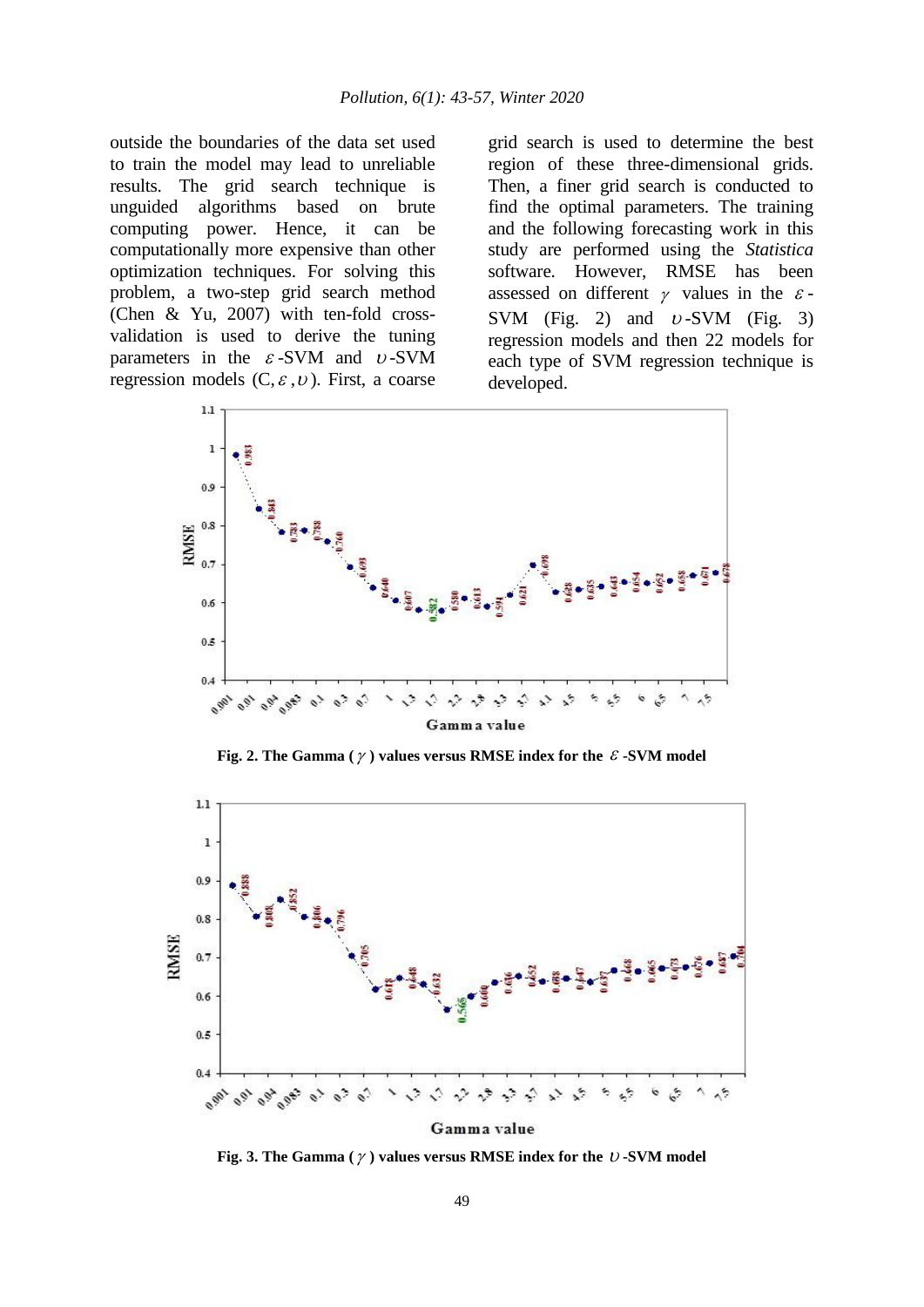outside the boundaries of the data set used to train the model may lead to unreliable results. The grid search technique is unguided algorithms based on brute computing power. Hence, it can be computationally more expensive than other optimization techniques. For solving this problem, a two-step grid search method (Chen & Yu, 2007) with ten-fold crossvalidation is used to derive the tuning parameters in the  $\varepsilon$ -SVM and  $v$ -SVM regression models  $(C, \varepsilon, v)$ . First, a coarse grid search is used to determine the best region of these three-dimensional grids. Then, a finer grid search is conducted to find the optimal parameters. The training and the following forecasting work in this study are performed using the *Statistica* software. However, RMSE has been assessed on different  $\gamma$  values in the  $\varepsilon$ -SVM (Fig. 2) and  $v$ -SVM (Fig. 3) regression models and then 22 models for each type of SVM regression technique is developed.



**Fig. 2. The Gamma ( ) values versus RMSE index for the -SVM model**



Fig. 3. The Gamma ( $\gamma$ ) values versus RMSE index for the  $U$ -SVM model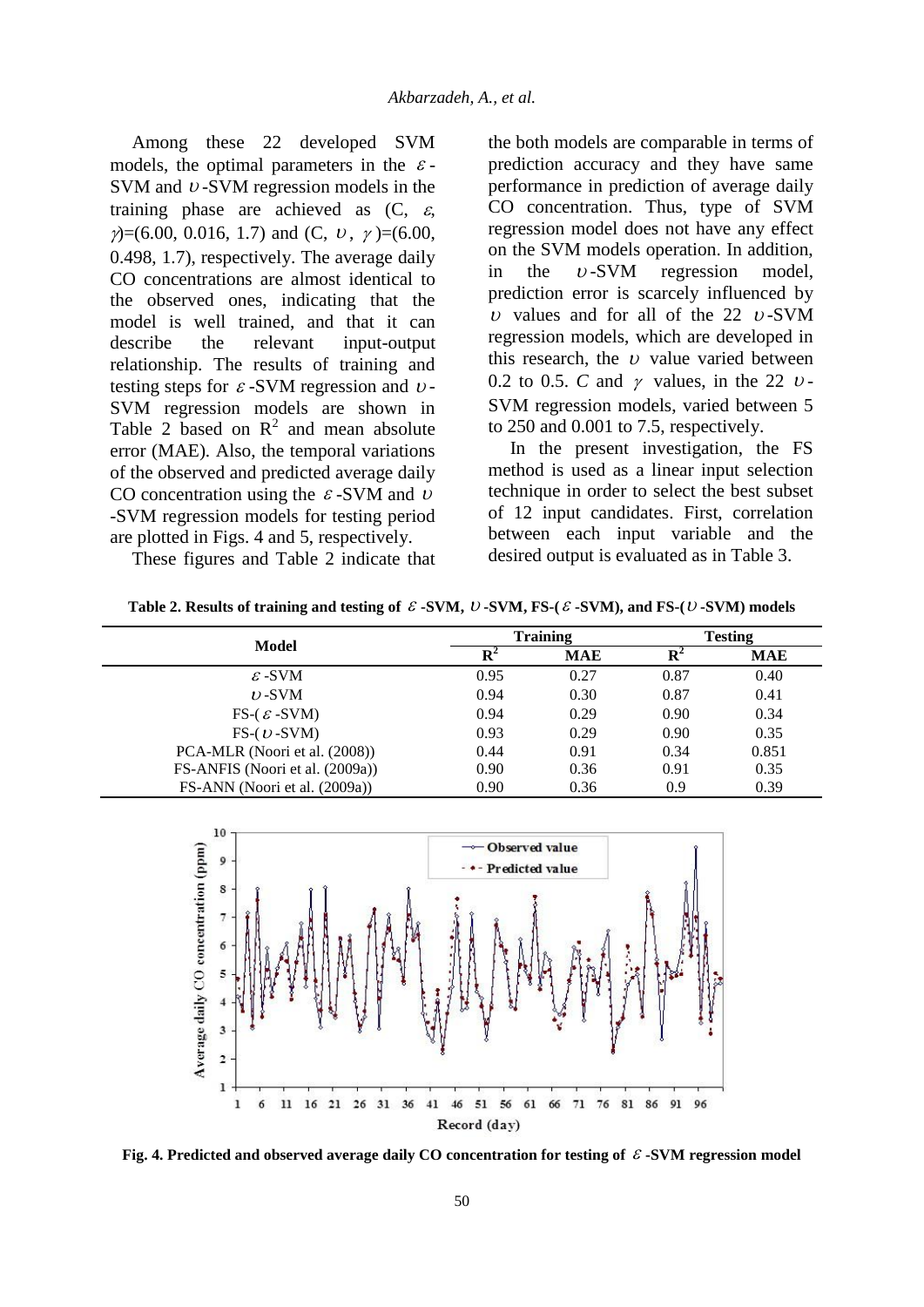Among these 22 developed SVM models, the optimal parameters in the  $\varepsilon$ -SVM and  $\nu$ -SVM regression models in the training phase are achieved as  $(C, \varepsilon,$  $\gamma$ =(6.00, 0.016, 1.7) and (C, v,  $\gamma$ )=(6.00, 0.498, 1.7), respectively. The average daily CO concentrations are almost identical to the observed ones, indicating that the model is well trained, and that it can describe the relevant input-output relationship. The results of training and testing steps for  $\varepsilon$ -SVM regression and  $v$ -SVM regression models are shown in Table 2 based on  $\mathbb{R}^2$  and mean absolute error (MAE). Also, the temporal variations of the observed and predicted average daily CO concentration using the  $\varepsilon$ -SVM and  $\nu$ -SVM regression models for testing period are plotted in Figs. 4 and 5, respectively.

These figures and Table 2 indicate that

the both models are comparable in terms of prediction accuracy and they have same performance in prediction of average daily CO concentration. Thus, type of SVM regression model does not have any effect on the SVM models operation. In addition, in the  $v$ -SVM regression model, prediction error is scarcely influenced by  $\upsilon$  values and for all of the 22  $\upsilon$ -SVM regression models, which are developed in this research, the  $\nu$  value varied between 0.2 to 0.5. *C* and  $\gamma$  values, in the 22  $\upsilon$ -SVM regression models, varied between 5 to 250 and 0.001 to 7.5, respectively.

In the present investigation, the FS method is used as a linear input selection technique in order to select the best subset of 12 input candidates. First, correlation between each input variable and the desired output is evaluated as in Table 3.

|                                 |                | <b>Training</b> | <b>Testing</b> |            |  |
|---------------------------------|----------------|-----------------|----------------|------------|--|
| Model                           | $\mathbf{R}^2$ | MAE             | $\mathbf{R}^2$ | <b>MAE</b> |  |
| $\varepsilon$ -SVM              | 0.95           | 0.27            | 0.87           | 0.40       |  |
| $\nu$ -SVM                      | 0.94           | 0.30            | 0.87           | 0.41       |  |
| FS- $(\varepsilon$ -SVM)        | 0.94           | 0.29            | 0.90           | 0.34       |  |
| FS- $(\nu$ -SVM)                | 0.93           | 0.29            | 0.90           | 0.35       |  |
| PCA-MLR (Noori et al. (2008))   | 0.44           | 0.91            | 0.34           | 0.851      |  |
| FS-ANFIS (Noori et al. (2009a)) | 0.90           | 0.36            | 0.91           | 0.35       |  |
| FS-ANN (Noori et al. (2009a))   | 0.90           | 0.36            | 0.9            | 0.39       |  |

Table 2. Results of training and testing of  $\mathcal{E}$  -SVM,  $\mathcal{U}$ -SVM, FS-( $\mathcal{E}$  -SVM), and FS-( $\mathcal{U}$ -SVM) models



**Fig. 4. Predicted and observed average daily CO concentration for testing of -SVM regression model**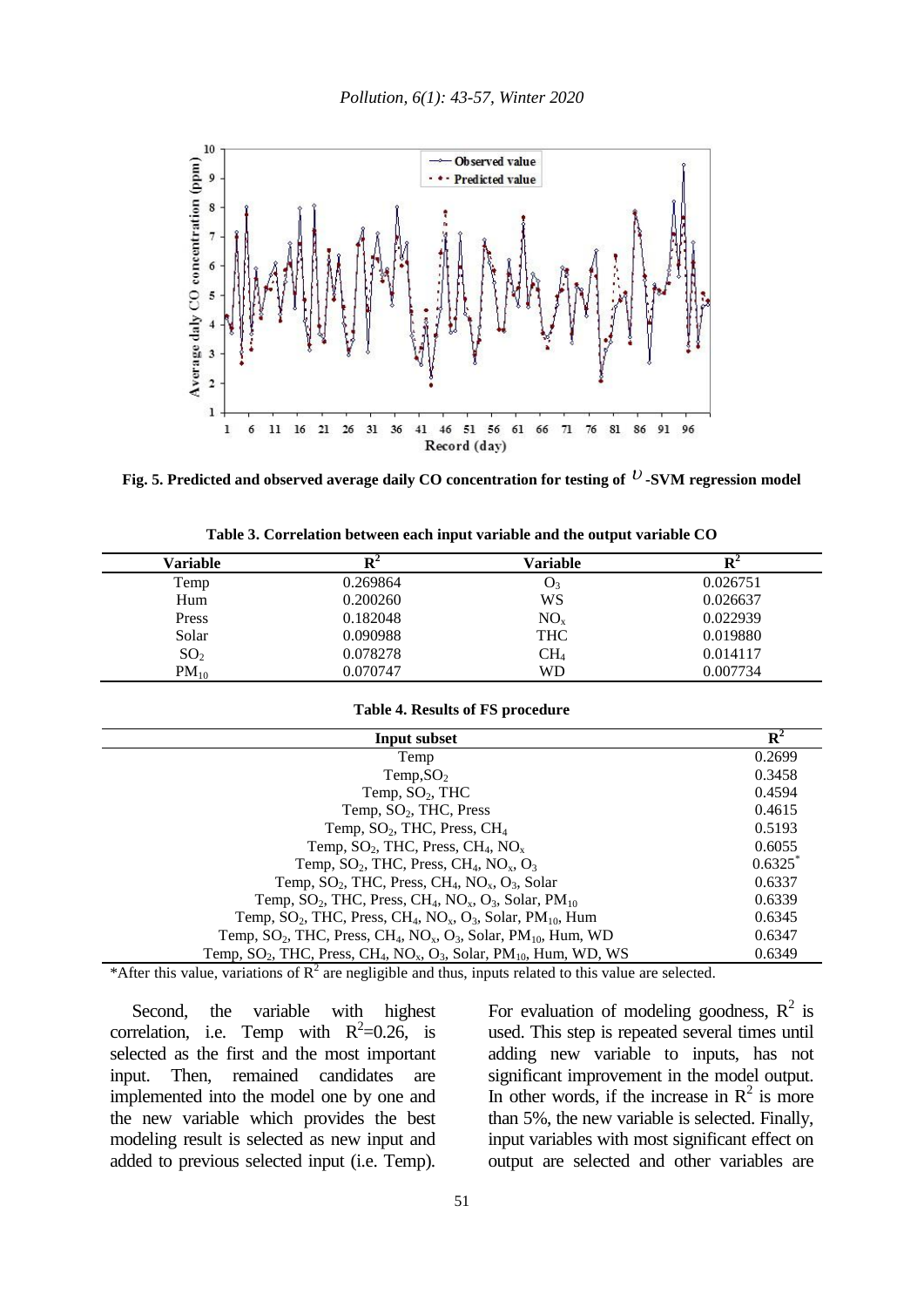

**Fig. 5. Predicted and observed average daily CO concentration for testing of -SVM regression model**

| Variable        | $\mathbf{R}^2$ | Variable        |          |
|-----------------|----------------|-----------------|----------|
| Temp            | 0.269864       | O <sub>3</sub>  | 0.026751 |
| Hum             | 0.200260       | WS              | 0.026637 |
| Press           | 0.182048       | NO <sub>x</sub> | 0.022939 |
| Solar           | 0.090988       | <b>THC</b>      | 0.019880 |
| SO <sub>2</sub> | 0.078278       | CH <sub>4</sub> | 0.014117 |
| $PM_{10}$       | 0.070747       | WD              | 0.007734 |

**Table 3. Correlation between each input variable and the output variable CO**

#### **Table 4. Results of FS procedure**

| Input subset                                                                                                          | $\mathbf{R}^2$ |
|-----------------------------------------------------------------------------------------------------------------------|----------------|
| Temp                                                                                                                  | 0.2699         |
| Temp, SO <sub>2</sub>                                                                                                 | 0.3458         |
| Temp, $SO_2$ , THC                                                                                                    | 0.4594         |
| Temp, SO <sub>2</sub> , THC, Press                                                                                    | 0.4615         |
| Temp, $SO_2$ , THC, Press, CH <sub>4</sub>                                                                            | 0.5193         |
| Temp, $SO_2$ , THC, Press, CH <sub>4</sub> , NO <sub>x</sub>                                                          | 0.6055         |
| Temp, $SO_2$ , THC, Press, CH <sub>4</sub> , NO <sub>x</sub> , O <sub>3</sub>                                         | 0.6325         |
| Temp, $SO_2$ , THC, Press, CH <sub>4</sub> , NO <sub>x</sub> , O <sub>3</sub> , Solar                                 | 0.6337         |
| Temp, $SO_2$ , THC, Press, CH <sub>4</sub> , NO <sub>x</sub> , O <sub>3</sub> , Solar, PM <sub>10</sub>               | 0.6339         |
| Temp, $SO_2$ , THC, Press, CH <sub>4</sub> , NO <sub>x</sub> , O <sub>3</sub> , Solar, PM <sub>10</sub> , Hum         | 0.6345         |
| Temp, $SO_2$ , THC, Press, CH <sub>4</sub> , NO <sub>x</sub> , O <sub>3</sub> , Solar, PM <sub>10</sub> , Hum, WD     | 0.6347         |
| Temp, $SO_2$ , THC, Press, CH <sub>4</sub> , NO <sub>x</sub> , O <sub>3</sub> , Solar, PM <sub>10</sub> , Hum, WD, WS | 0.6349         |

\*After this value, variations of  $R^2$  are negligible and thus, inputs related to this value are selected.

Second, the variable with highest correlation, i.e. Temp with  $R^2=0.26$ , is selected as the first and the most important input. Then, remained candidates are implemented into the model one by one and the new variable which provides the best modeling result is selected as new input and added to previous selected input (i.e. Temp).

For evaluation of modeling goodness,  $R^2$  is used. This step is repeated several times until adding new variable to inputs, has not significant improvement in the model output. In other words, if the increase in  $R^2$  is more than 5%, the new variable is selected. Finally, input variables with most significant effect on output are selected and other variables are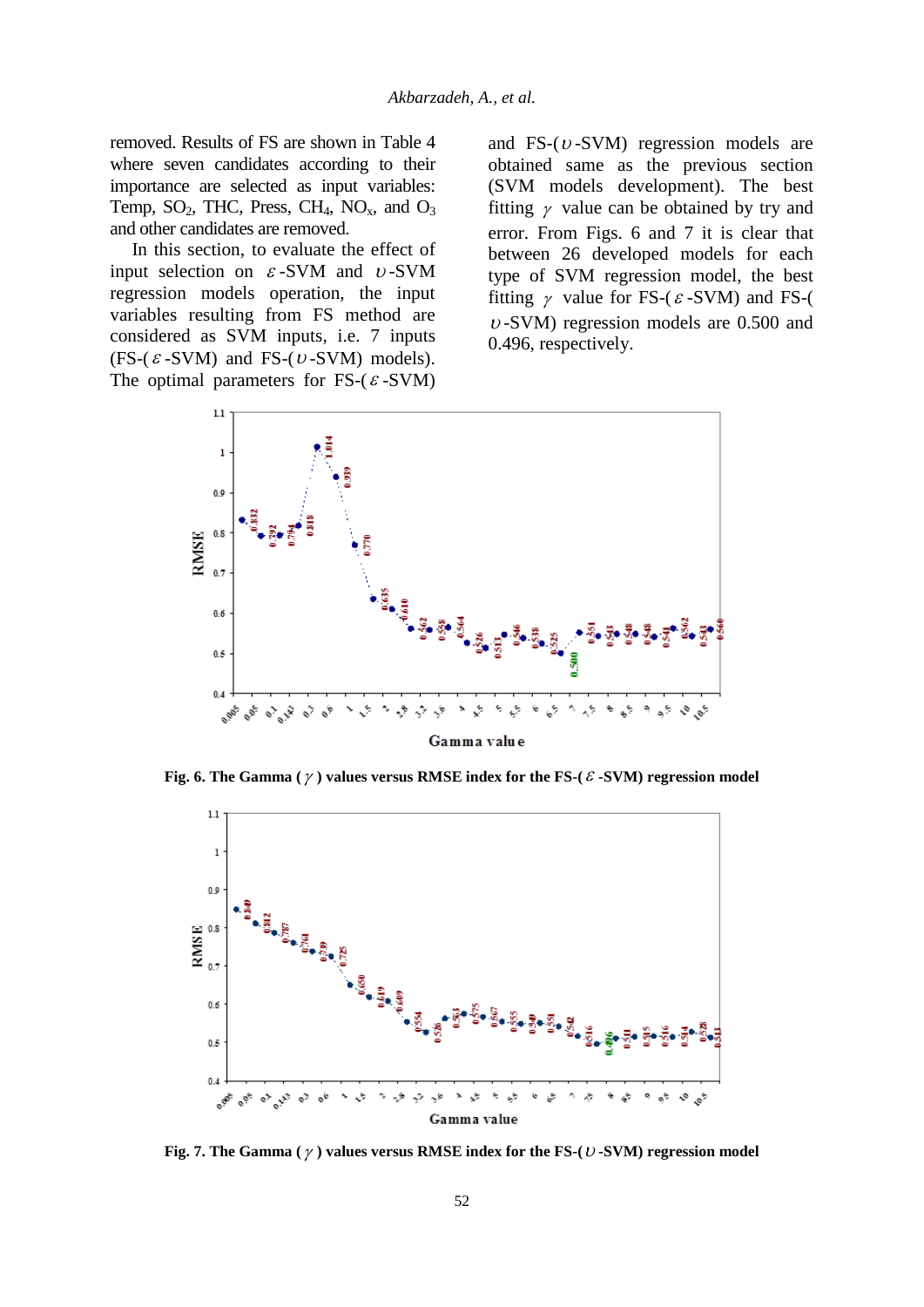removed. Results of FS are shown in Table 4 where seven candidates according to their importance are selected as input variables: Temp,  $SO_2$ , THC, Press, CH<sub>4</sub>, NO<sub>x</sub>, and  $O_3$ and other candidates are removed.

In this section, to evaluate the effect of input selection on  $\varepsilon$ -SVM and  $v$ -SVM regression models operation, the input variables resulting from FS method are considered as SVM inputs, i.e. 7 inputs  $(FS-(\varepsilon - SVM)$  and  $FS-(\nu-SVM)$  models). The optimal parameters for FS- $(\varepsilon$ -SVM)

and  $FS-(U-SVM)$  regression models are obtained same as the previous section (SVM models development). The best fitting  $\gamma$  value can be obtained by try and error. From Figs. 6 and 7 it is clear that between 26 developed models for each type of SVM regression model, the best fitting  $\gamma$  value for FS-( $\varepsilon$ -SVM) and FS-(  $v$ -SVM) regression models are 0.500 and 0.496, respectively.



Fig. 6. The Gamma (  $\gamma$  ) values versus RMSE index for the FS-(  $\varepsilon$  -SVM) regression model



**Fig. 7. The Gamma ( ) values versus RMSE index for the FS-( -SVM) regression model**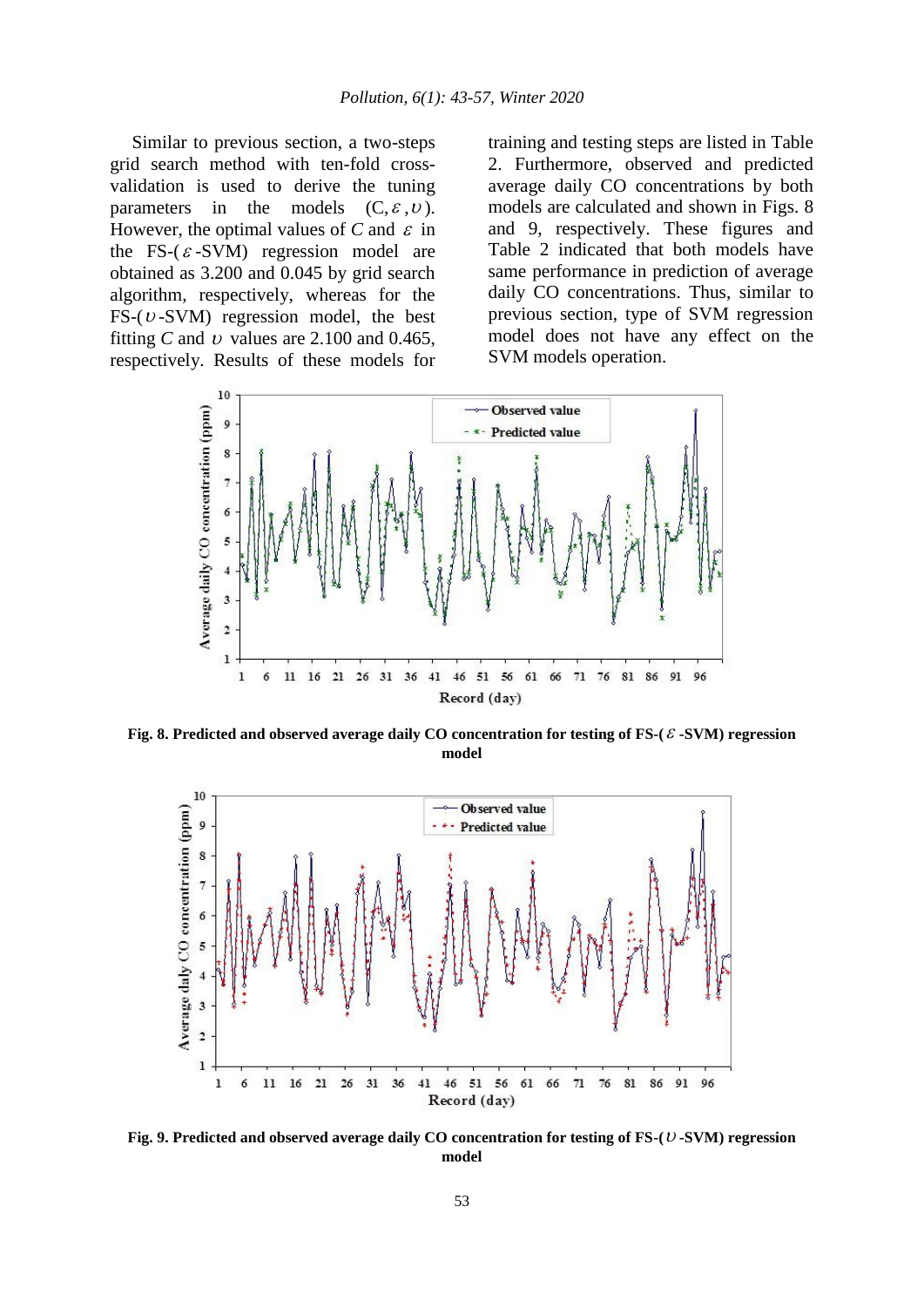Similar to previous section, a two-steps grid search method with ten-fold crossvalidation is used to derive the tuning parameters in the models  $\varepsilon$  ,  $\nu$  ). However, the optimal values of C and  $\varepsilon$  in the FS- $(\varepsilon$ -SVM) regression model are obtained as 3.200 and 0.045 by grid search algorithm, respectively, whereas for the  $FS-(v-SVM)$  regression model, the best fitting *C* and *v* values are 2.100 and 0.465, respectively. Results of these models for

training and testing steps are listed in Table 2. Furthermore, observed and predicted average daily CO concentrations by both models are calculated and shown in Figs. 8 and 9, respectively. These figures and Table 2 indicated that both models have same performance in prediction of average daily CO concentrations. Thus, similar to previous section, type of SVM regression model does not have any effect on the SVM models operation.



Fig. 8. Predicted and observed average daily CO concentration for testing of FS-(  $\varepsilon$  -SVM) regression **model**



Fig. 9. Predicted and observed average daily CO concentration for testing of FS-(U-SVM) regression **model**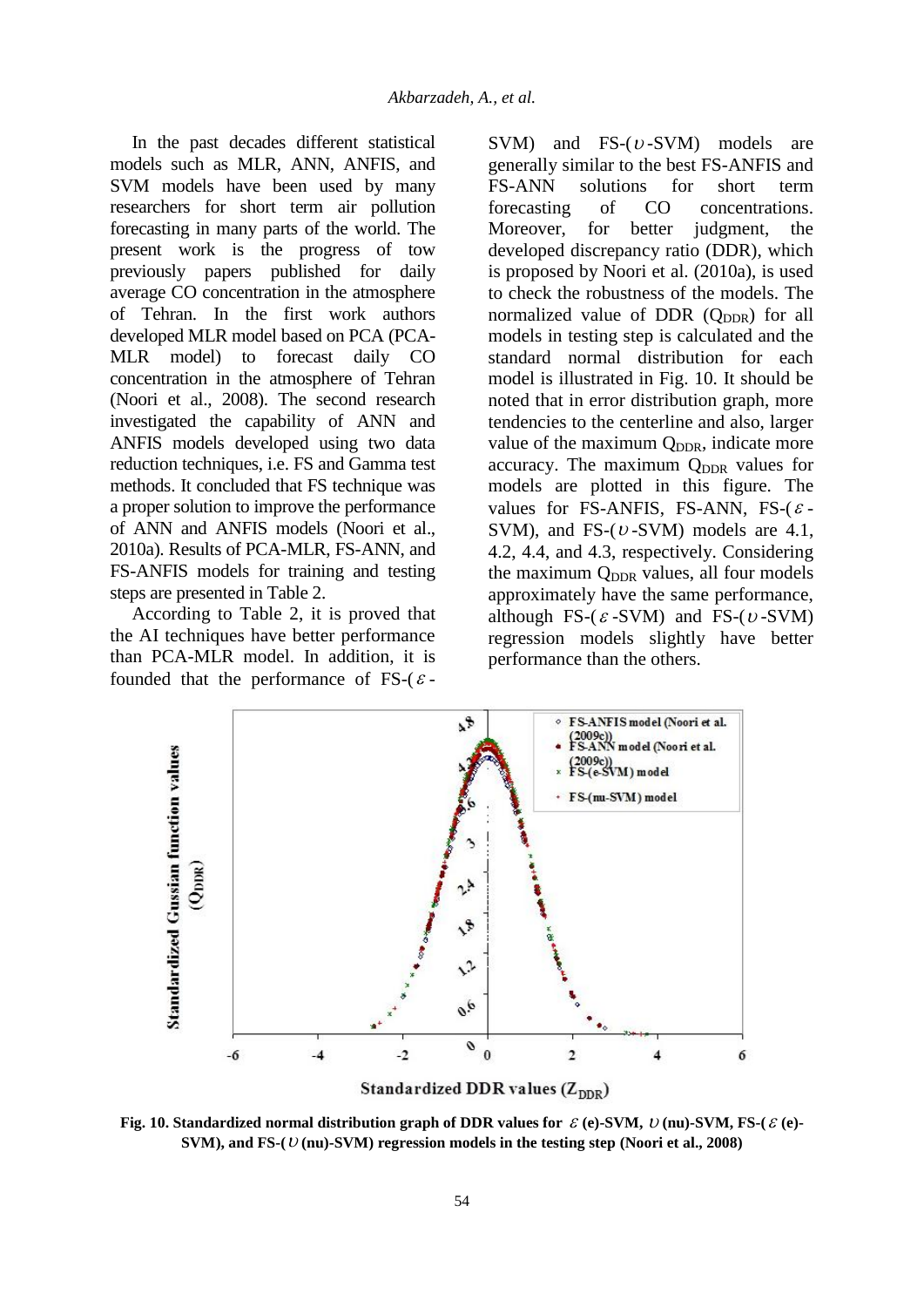In the past decades different statistical models such as MLR, ANN, ANFIS, and SVM models have been used by many researchers for short term air pollution forecasting in many parts of the world. The present work is the progress of tow previously papers published for daily average CO concentration in the atmosphere of Tehran. In the first work authors developed MLR model based on PCA (PCA-MLR model) to forecast daily CO concentration in the atmosphere of Tehran (Noori et al., 2008). The second research investigated the capability of ANN and ANFIS models developed using two data reduction techniques, i.e. FS and Gamma test methods. It concluded that FS technique was a proper solution to improve the performance of ANN and ANFIS models (Noori et al., 2010a). Results of PCA-MLR, FS-ANN, and FS-ANFIS models for training and testing steps are presented in Table 2.

According to Table 2, it is proved that the AI techniques have better performance than PCA-MLR model. In addition, it is founded that the performance of FS- $(\varepsilon -$ 

 $SVM$ ) and  $FS-(U-SVM)$  models are generally similar to the best FS-ANFIS and FS-ANN solutions for short term forecasting of CO concentrations. Moreover, for better judgment, the developed discrepancy ratio (DDR), which is proposed by Noori et al. (2010a), is used to check the robustness of the models. The normalized value of DDR  $(Q_{\text{DDR}})$  for all models in testing step is calculated and the standard normal distribution for each model is illustrated in Fig. 10. It should be noted that in error distribution graph, more tendencies to the centerline and also, larger value of the maximum  $Q_{\text{DDR}}$ , indicate more accuracy. The maximum Q<sub>DDR</sub> values for models are plotted in this figure. The values for FS-ANFIS, FS-ANN, FS- $(\varepsilon$ -SVM), and  $FS-(v-SVM)$  models are 4.1, 4.2, 4.4, and 4.3, respectively. Considering the maximum  $Q_{\text{DDR}}$  values, all four models approximately have the same performance, although FS- $(\varepsilon$ -SVM) and FS- $(\nu$ -SVM) regression models slightly have better performance than the others.



Standardized DDR values  $(Z_{\text{DDR}})$ 

**Fig.** 10. Standardized normal distribution graph of DDR values for  $\mathcal{E}$  (e)-SVM,  $\mathcal{U}$  (nu)-SVM, FS-( $\mathcal{E}$  (e)-SVM), and FS-( $U$ (nu)-SVM) regression models in the testing step (Noori et al., 2008)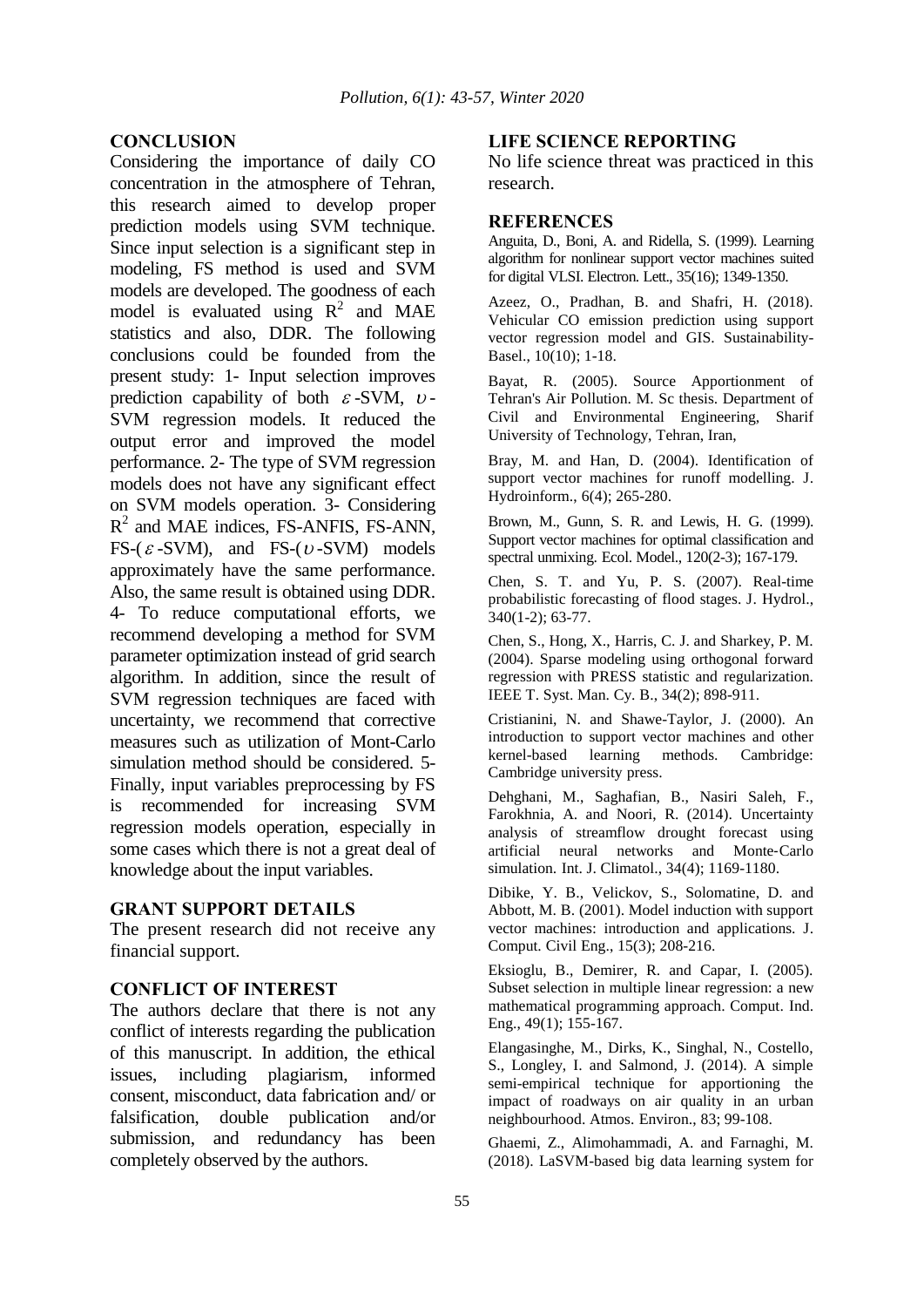### **CONCLUSION**

Considering the importance of daily CO concentration in the atmosphere of Tehran, this research aimed to develop proper prediction models using SVM technique. Since input selection is a significant step in modeling, FS method is used and SVM models are developed. The goodness of each model is evaluated using  $R^2$  and MAE statistics and also, DDR. The following conclusions could be founded from the present study: 1- Input selection improves prediction capability of both  $\varepsilon$ -SVM,  $v$ -SVM regression models. It reduced the output error and improved the model performance. 2- The type of SVM regression models does not have any significant effect on SVM models operation. 3- Considering  $R<sup>2</sup>$  and MAE indices, FS-ANFIS, FS-ANN,  $FS$ - $(\varepsilon$ -SVM), and FS- $(\nu$ -SVM) models approximately have the same performance. Also, the same result is obtained using DDR. 4- To reduce computational efforts, we recommend developing a method for SVM parameter optimization instead of grid search algorithm. In addition, since the result of SVM regression techniques are faced with uncertainty, we recommend that corrective measures such as utilization of Mont-Carlo simulation method should be considered. 5- Finally, input variables preprocessing by FS is recommended for increasing SVM regression models operation, especially in some cases which there is not a great deal of knowledge about the input variables.

### **GRANT SUPPORT DETAILS**

The present research did not receive any financial support.

### **CONFLICT OF INTEREST**

The authors declare that there is not any conflict of interests regarding the publication of this manuscript. In addition, the ethical issues, including plagiarism, informed consent, misconduct, data fabrication and/ or falsification, double publication and/or submission, and redundancy has been completely observed by the authors.

### **LIFE SCIENCE REPORTING**

No life science threat was practiced in this research.

#### **REFERENCES**

Anguita, D., Boni, A. and Ridella, S. (1999). Learning algorithm for nonlinear support vector machines suited for digital VLSI. Electron. Lett., 35(16); 1349-1350.

Azeez, O., Pradhan, B. and Shafri, H. (2018). Vehicular CO emission prediction using support vector regression model and GIS. Sustainability-Basel., 10(10); 1-18.

Bayat, R. (2005). Source Apportionment of Tehran's Air Pollution. M. Sc thesis. Department of Civil and Environmental Engineering, Sharif University of Technology, Tehran, Iran,

Bray, M. and Han, D. (2004). Identification of support vector machines for runoff modelling. J. Hydroinform., 6(4); 265-280.

Brown, M., Gunn, S. R. and Lewis, H. G. (1999). Support vector machines for optimal classification and spectral unmixing. Ecol. Model., 120(2-3); 167-179.

Chen, S. T. and Yu, P. S. (2007). Real-time probabilistic forecasting of flood stages. J. Hydrol., 340(1-2); 63-77.

Chen, S., Hong, X., Harris, C. J. and Sharkey, P. M. (2004). Sparse modeling using orthogonal forward regression with PRESS statistic and regularization. IEEE T. Syst. Man. Cy. B., 34(2); 898-911.

Cristianini, N. and Shawe-Taylor, J. (2000). An introduction to support vector machines and other kernel-based learning methods. Cambridge: Cambridge university press.

Dehghani, M., Saghafian, B., Nasiri Saleh, F., Farokhnia, A. and Noori, R. (2014). Uncertainty analysis of streamflow drought forecast using artificial neural networks and Monte‐Carlo simulation. Int. J. Climatol., 34(4); 1169-1180.

Dibike, Y. B., Velickov, S., Solomatine, D. and Abbott, M. B. (2001). Model induction with support vector machines: introduction and applications. J. Comput. Civil Eng., 15(3); 208-216.

Eksioglu, B., Demirer, R. and Capar, I. (2005). Subset selection in multiple linear regression: a new mathematical programming approach. Comput. Ind. Eng., 49(1); 155-167.

Elangasinghe, M., Dirks, K., Singhal, N., Costello, S., Longley, I. and Salmond, J. (2014). A simple semi-empirical technique for apportioning the impact of roadways on air quality in an urban neighbourhood. Atmos. Environ., 83; 99-108.

Ghaemi, Z., Alimohammadi, A. and Farnaghi, M. (2018). LaSVM-based big data learning system for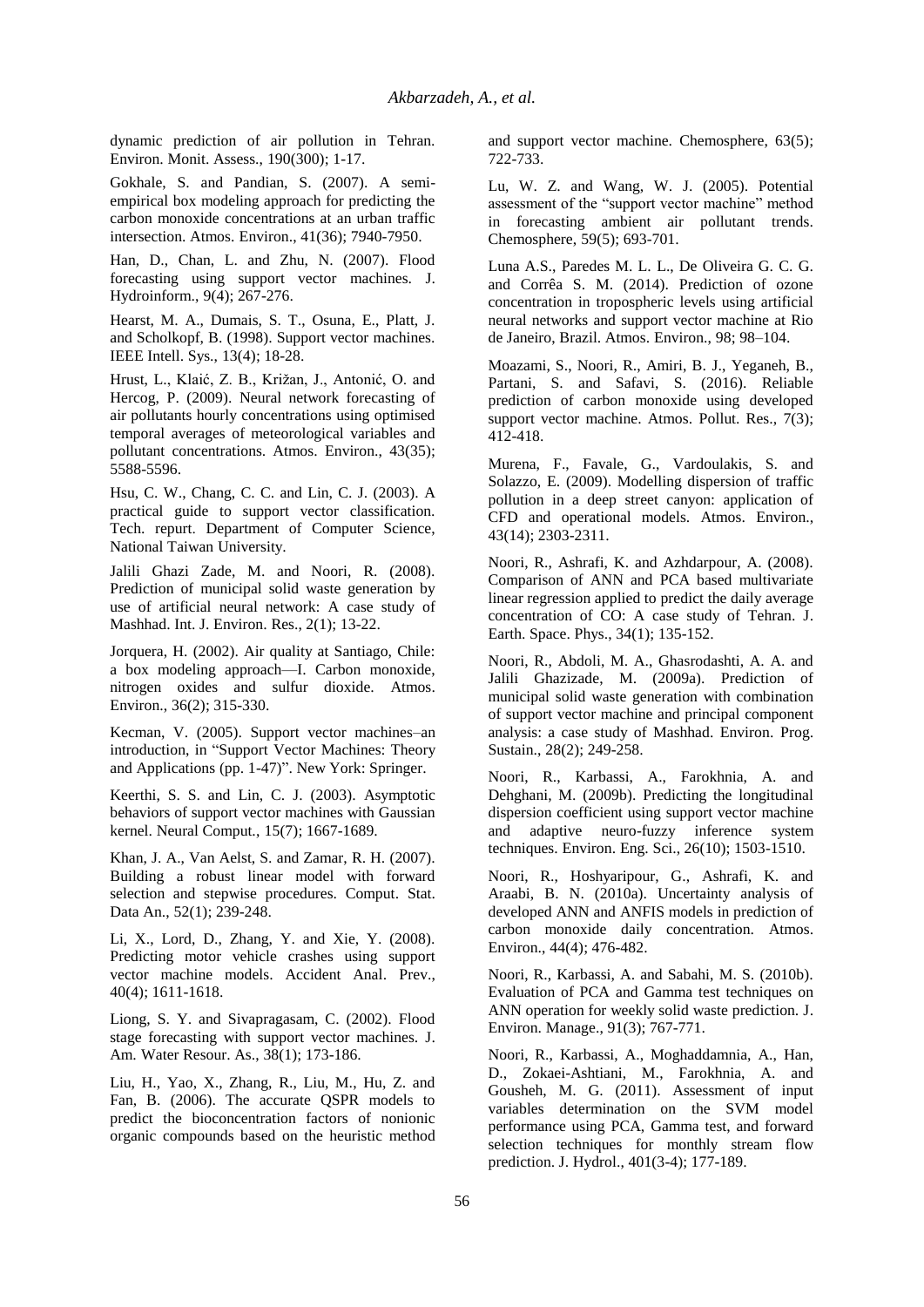dynamic prediction of air pollution in Tehran. Environ. Monit. Assess., 190(300); 1-17.

Gokhale, S. and Pandian, S. (2007). A semiempirical box modeling approach for predicting the carbon monoxide concentrations at an urban traffic intersection. Atmos. Environ., 41(36); 7940-7950.

Han, D., Chan, L. and Zhu, N. (2007). Flood forecasting using support vector machines. J. Hydroinform., 9(4); 267-276.

Hearst, M. A., Dumais, S. T., Osuna, E., Platt, J. and Scholkopf, B. (1998). Support vector machines. IEEE Intell. Sys., 13(4); 18-28.

Hrust, L., Klaić, Z. B., Križan, J., Antonić, O. and Hercog, P. (2009). Neural network forecasting of air pollutants hourly concentrations using optimised temporal averages of meteorological variables and pollutant concentrations. Atmos. Environ., 43(35); 5588-5596.

Hsu, C. W., Chang, C. C. and Lin, C. J. (2003). A practical guide to support vector classification. Tech. repurt. Department of Computer Science, National Taiwan University.

Jalili Ghazi Zade, M. and Noori, R. (2008). Prediction of municipal solid waste generation by use of artificial neural network: A case study of Mashhad. Int. J. Environ. Res., 2(1); 13-22.

Jorquera, H. (2002). Air quality at Santiago, Chile: a box modeling approach—I. Carbon monoxide, nitrogen oxides and sulfur dioxide. Atmos. Environ., 36(2); 315-330.

Kecman, V. (2005). Support vector machines–an introduction, in "Support Vector Machines: Theory and Applications (pp. 1-47)". New York: Springer.

Keerthi, S. S. and Lin, C. J. (2003). Asymptotic behaviors of support vector machines with Gaussian kernel. Neural Comput., 15(7); 1667-1689.

Khan, J. A., Van Aelst, S. and Zamar, R. H. (2007). Building a robust linear model with forward selection and stepwise procedures. Comput. Stat. Data An., 52(1); 239-248.

Li, X., Lord, D., Zhang, Y. and Xie, Y. (2008). Predicting motor vehicle crashes using support vector machine models. Accident Anal. Prev., 40(4); 1611-1618.

Liong, S. Y. and Sivapragasam, C. (2002). Flood stage forecasting with support vector machines. J. Am. Water Resour. As., 38(1); 173-186.

Liu, H., Yao, X., Zhang, R., Liu, M., Hu, Z. and Fan, B. (2006). The accurate QSPR models to predict the bioconcentration factors of nonionic organic compounds based on the heuristic method and support vector machine. Chemosphere, 63(5); 722-733.

Lu, W. Z. and Wang, W. J. (2005). Potential assessment of the "support vector machine" method in forecasting ambient air pollutant trends. Chemosphere, 59(5); 693-701.

Luna A.S., Paredes M. L. L., De Oliveira G. C. G. and Corrêa S. M. (2014). Prediction of ozone concentration in tropospheric levels using artificial neural networks and support vector machine at Rio de Janeiro, Brazil. Atmos. Environ., 98; 98–104.

Moazami, S., Noori, R., Amiri, B. J., Yeganeh, B., Partani, S. and Safavi, S. (2016). Reliable prediction of carbon monoxide using developed support vector machine. Atmos. Pollut. Res., 7(3); 412-418.

Murena, F., Favale, G., Vardoulakis, S. and Solazzo, E. (2009). Modelling dispersion of traffic pollution in a deep street canyon: application of CFD and operational models. Atmos. Environ., 43(14); 2303-2311.

Noori, R., Ashrafi, K. and Azhdarpour, A. (2008). Comparison of ANN and PCA based multivariate linear regression applied to predict the daily average concentration of CO: A case study of Tehran. J. Earth. Space. Phys., 34(1); 135-152.

Noori, R., Abdoli, M. A., Ghasrodashti, A. A. and Jalili Ghazizade, M. (2009a). Prediction of municipal solid waste generation with combination of support vector machine and principal component analysis: a case study of Mashhad. Environ. Prog. Sustain., 28(2); 249-258.

Noori, R., Karbassi, A., Farokhnia, A. and Dehghani, M. (2009b). Predicting the longitudinal dispersion coefficient using support vector machine and adaptive neuro-fuzzy inference system techniques. Environ. Eng. Sci., 26(10); 1503-1510.

Noori, R., Hoshyaripour, G., Ashrafi, K. and Araabi, B. N. (2010a). Uncertainty analysis of developed ANN and ANFIS models in prediction of carbon monoxide daily concentration. Atmos. Environ., 44(4); 476-482.

Noori, R., Karbassi, A. and Sabahi, M. S. (2010b). Evaluation of PCA and Gamma test techniques on ANN operation for weekly solid waste prediction. J. Environ. Manage., 91(3); 767-771.

Noori, R., Karbassi, A., Moghaddamnia, A., Han, D., Zokaei-Ashtiani, M., Farokhnia, A. and Gousheh, M. G. (2011). Assessment of input variables determination on the SVM model performance using PCA, Gamma test, and forward selection techniques for monthly stream flow prediction. J. Hydrol., 401(3-4); 177-189.